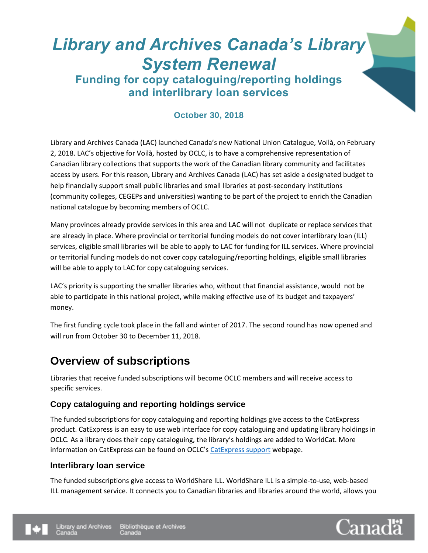# *Library and Archives Canada's Library System Renewal* **Funding for copy cataloguing/reporting holdings**

**and interlibrary loan services**

#### **October 30, 2018**

Library and Archives Canada (LAC) launched Canada's new National Union Catalogue, Voilà, on February 2, 2018. LAC's objective for Voilà, hosted by OCLC, is to have a comprehensive representation of Canadian library collections that supports the work of the Canadian library community and facilitates access by users. For this reason, Library and Archives Canada (LAC) has set aside a designated budget to help financially support small public libraries and small libraries at post-secondary institutions (community colleges, CEGEPs and universities) wanting to be part of the project to enrich the Canadian national catalogue by becoming members of OCLC.

Many provinces already provide services in this area and LAC will not duplicate or replace services that are already in place. Where provincial or territorial funding models do not cover interlibrary loan (ILL) services, eligible small libraries will be able to apply to LAC for funding for ILL services. Where provincial or territorial funding models do not cover copy cataloguing/reporting holdings, eligible small libraries will be able to apply to LAC for copy cataloguing services.

LAC's priority is supporting the smaller libraries who, without that financial assistance, would not be able to participate in this national project, while making effective use of its budget and taxpayers' money.

The first funding cycle took place in the fall and winter of 2017. The second round has now opened and will run from October 30 to December 11, 2018.

## **Overview of subscriptions**

Libraries that receive funded subscriptions will become OCLC members and will receive access to specific services.

#### **Copy cataloguing and reporting holdings service**

The funded subscriptions for copy cataloguing and reporting holdings give access to the CatExpress product. CatExpress is an easy to use web interface for copy cataloguing and updating library holdings in OCLC. As a library does their copy cataloguing, the library's holdings are added to WorldCat. More information on CatExpress can be found on OCLC's [CatExpress support](https://www.oclc.org/support/services/catexpress.en.html) webpage.

#### **Interlibrary loan service**

The funded subscriptions give access to WorldShare ILL. WorldShare ILL is a simple-to-use, web-based ILL management service. It connects you to Canadian libraries and libraries around the world, allows you